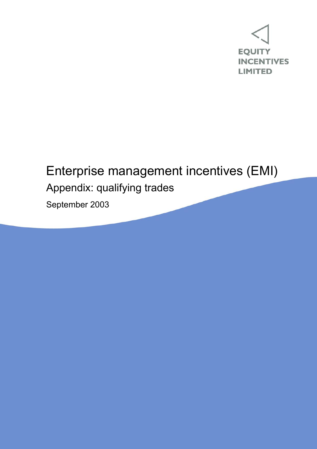

## Enterprise management incentives (EMI)

Appendix: qualifying trades

September 2003